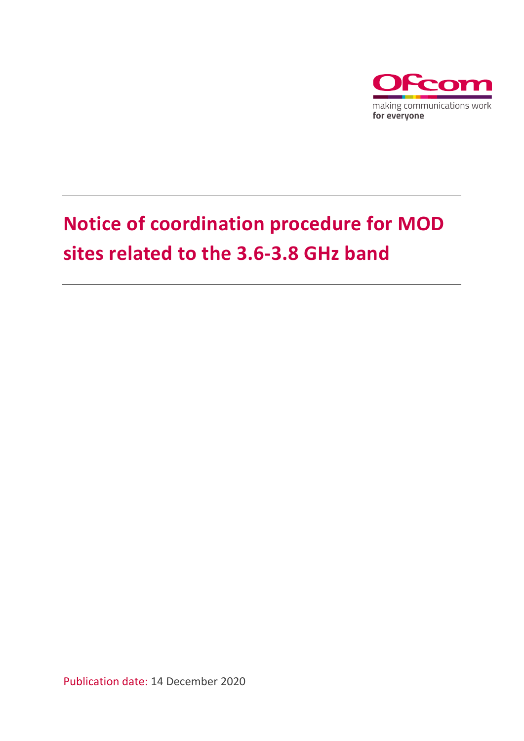

# **Notice of coordination procedure for MOD sites related to the 3.6-3.8 GHz band**

Publication date: 14 December 2020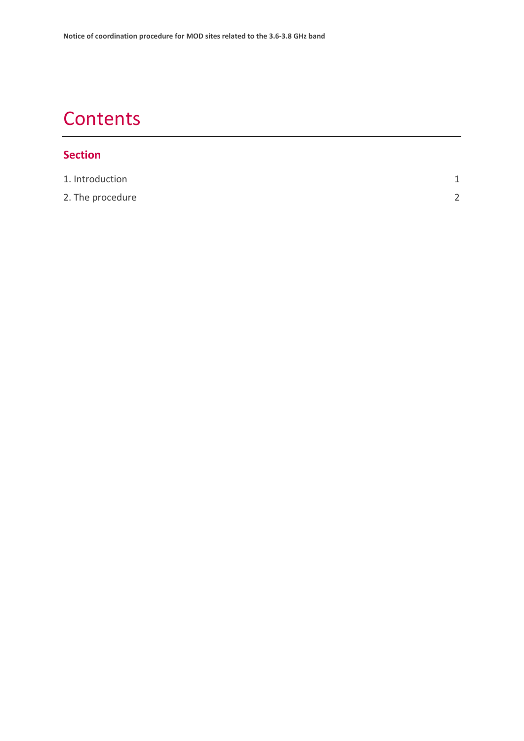## **Contents**

#### **Section**

| 1. Introduction  |        |
|------------------|--------|
| 2. The procedure | $\sim$ |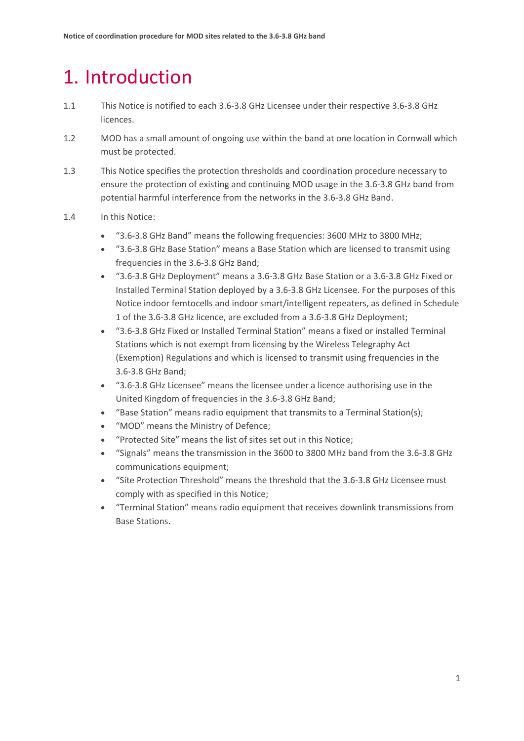## <span id="page-2-0"></span>1. Introduction

- 1.1 This Notice is notified to each 3.6-3.8 GHz Licensee under their respective 3.6-3.8 GHz licences.
- 1.2 MOD has a small amount of ongoing use within the band at one location in Cornwall which must be protected.
- 1.3 This Notice specifies the protection thresholds and coordination procedure necessary to ensure the protection of existing and continuing MOD usage in the 3.6-3.8 GHz band from potential harmful interference from the networks in the 3.6-3.8 GHz Band.
- 1.4 In this Notice:
	- "3.6-3.8 GHz Band" means the following frequencies: 3600 MHz to 3800 MHz;
	- "3.6-3.8 GHz Base Station" means a Base Station which are licensed to transmit using frequencies in the 3.6-3.8 GHz Band;
	- "3.6-3.8 GHz Deployment" means a 3.6-3.8 GHz Base Station or a 3.6-3.8 GHz Fixed or Installed Terminal Station deployed by a 3.6-3.8 GHz Licensee. For the purposes of this Notice indoor femtocells and indoor smart/intelligent repeaters, as defined in Schedule 1 of the 3.6-3.8 GHz licence, are excluded from a 3.6-3.8 GHz Deployment;
	- "3.6-3.8 GHz Fixed or Installed Terminal Station" means a fixed or installed Terminal Stations which is not exempt from licensing by the Wireless Telegraphy Act (Exemption) Regulations and which is licensed to transmit using frequencies in the 3.6-3.8 GHz Band;
	- "3.6-3.8 GHz Licensee" means the licensee under a licence authorising use in the United Kingdom of frequencies in the 3.6-3.8 GHz Band;
	- "Base Station" means radio equipment that transmits to a Terminal Station(s);
	- "MOD" means the Ministry of Defence;
	- "Protected Site" means the list of sites set out in this Notice;
	- "Signals" means the transmission in the 3600 to 3800 MHz band from the 3.6-3.8 GHz communications equipment;
	- "Site Protection Threshold" means the threshold that the 3.6-3.8 GHz Licensee must comply with as specified in this Notice;
	- "Terminal Station" means radio equipment that receives downlink transmissions from Base Stations.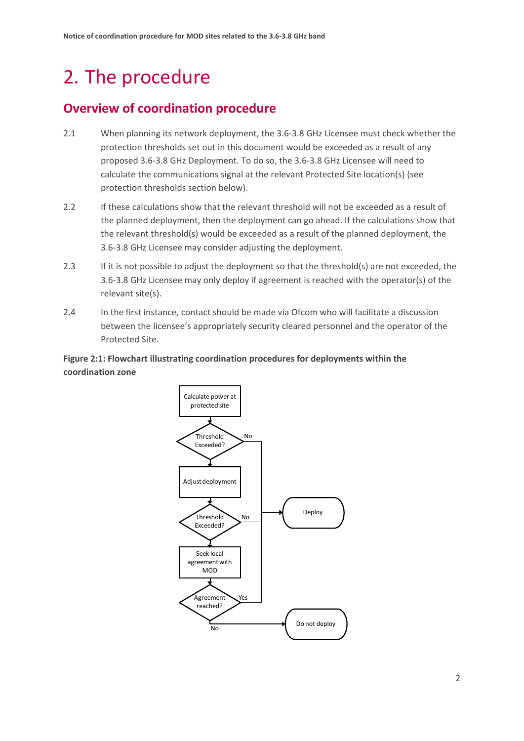## <span id="page-3-0"></span>2. The procedure

### **Overview of coordination procedure**

- 2.1 When planning its network deployment, the 3.6-3.8 GHz Licensee must check whether the protection thresholds set out in this document would be exceeded as a result of any proposed 3.6-3.8 GHz Deployment. To do so, the 3.6-3.8 GHz Licensee will need to calculate the communications signal at the relevant Protected Site location(s) (see protection thresholds section below).
- 2.2 If these calculations show that the relevant threshold will not be exceeded as a result of the planned deployment, then the deployment can go ahead. If the calculations show that the relevant threshold(s) would be exceeded as a result of the planned deployment, the 3.6-3.8 GHz Licensee may consider adjusting the deployment.
- 2.3 If it is not possible to adjust the deployment so that the threshold(s) are not exceeded, the 3.6-3.8 GHz Licensee may only deploy if agreement is reached with the operator(s) of the relevant site(s).
- 2.4 In the first instance, contact should be made via Ofcom who will facilitate a discussion between the licensee's appropriately security cleared personnel and the operator of the Protected Site.

#### **Figure 2:1: Flowchart illustrating coordination procedures for deployments within the coordination zone**

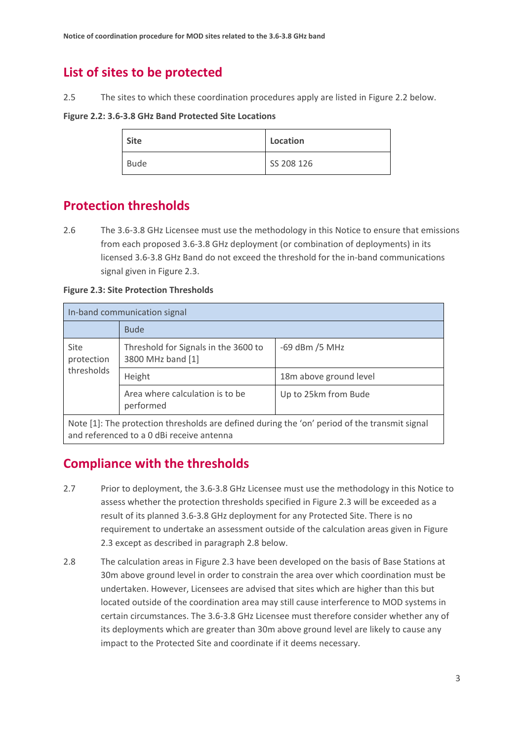### **List of sites to be protected**

2.5 The sites to which these coordination procedures apply are listed in Figure 2.2 below.

**Figure 2.2: 3.6-3.8 GHz Band Protected Site Locations** 

| <b>Site</b> | Location   |
|-------------|------------|
| <b>Bude</b> | SS 208 126 |

### **Protection thresholds**

2.6 The 3.6-3.8 GHz Licensee must use the methodology in this Notice to ensure that emissions from each proposed 3.6-3.8 GHz deployment (or combination of deployments) in its licensed 3.6-3.8 GHz Band do not exceed the threshold for the in-band communications signal given in Figure 2.3.

**Figure 2.3: Site Protection Thresholds**

| In-band communication signal                                                                  |                                                           |                        |  |
|-----------------------------------------------------------------------------------------------|-----------------------------------------------------------|------------------------|--|
|                                                                                               | <b>Bude</b>                                               |                        |  |
| Site<br>protection<br>thresholds                                                              | Threshold for Signals in the 3600 to<br>3800 MHz band [1] | $-69$ dBm $/5$ MHz     |  |
|                                                                                               | Height                                                    | 18m above ground level |  |
|                                                                                               | Area where calculation is to be<br>performed              | Up to 25km from Bude   |  |
| Note [1]: The protection thresholds are defined during the 'on' period of the transmit signal |                                                           |                        |  |

and referenced to a 0 dBi receive antenna

## **Compliance with the thresholds**

- 2.7 Prior to deployment, the 3.6-3.8 GHz Licensee must use the methodology in this Notice to assess whether the protection thresholds specified in Figure 2.3 will be exceeded as a result of its planned 3.6-3.8 GHz deployment for any Protected Site. There is no requirement to undertake an assessment outside of the calculation areas given in Figure 2.3 except as described in paragraph 2.8 below.
- 2.8 The calculation areas in Figure 2.3 have been developed on the basis of Base Stations at 30m above ground level in order to constrain the area over which coordination must be undertaken. However, Licensees are advised that sites which are higher than this but located outside of the coordination area may still cause interference to MOD systems in certain circumstances. The 3.6-3.8 GHz Licensee must therefore consider whether any of its deployments which are greater than 30m above ground level are likely to cause any impact to the Protected Site and coordinate if it deems necessary.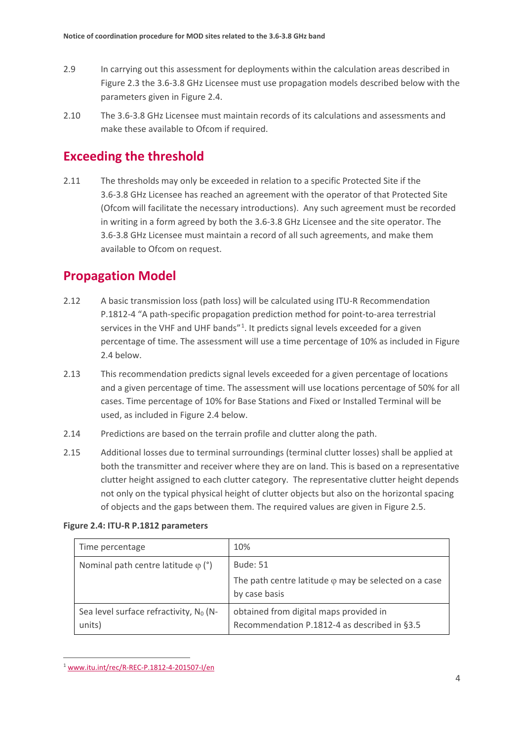- 2.9 In carrying out this assessment for deployments within the calculation areas described in Figure 2.3 the 3.6-3.8 GHz Licensee must use propagation models described below with the parameters given in Figure 2.4.
- 2.10 The 3.6-3.8 GHz Licensee must maintain records of its calculations and assessments and make these available to Ofcom if required.

#### **Exceeding the threshold**

2.11 The thresholds may only be exceeded in relation to a specific Protected Site if the 3.6-3.8 GHz Licensee has reached an agreement with the operator of that Protected Site (Ofcom will facilitate the necessary introductions). Any such agreement must be recorded in writing in a form agreed by both the 3.6-3.8 GHz Licensee and the site operator. The 3.6-3.8 GHz Licensee must maintain a record of all such agreements, and make them available to Ofcom on request.

#### **Propagation Model**

- 2.12 A basic transmission loss (path loss) will be calculated using ITU-R Recommendation P.1812-4 "A path-specific propagation prediction method for point-to-area terrestrial services in the VHF and UHF bands"<sup>[1](#page-5-0)</sup>. It predicts signal levels exceeded for a given percentage of time. The assessment will use a time percentage of 10% as included in Figure 2.4 below.
- 2.13 This recommendation predicts signal levels exceeded for a given percentage of locations and a given percentage of time. The assessment will use locations percentage of 50% for all cases. Time percentage of 10% for Base Stations and Fixed or Installed Terminal will be used, as included in Figure 2.4 below.
- 2.14 Predictions are based on the terrain profile and clutter along the path.
- 2.15 Additional losses due to terminal surroundings (terminal clutter losses) shall be applied at both the transmitter and receiver where they are on land. This is based on a representative clutter height assigned to each clutter category. The representative clutter height depends not only on the typical physical height of clutter objects but also on the horizontal spacing of objects and the gaps between them. The required values are given in Figure 2.5.

#### **Figure 2.4: ITU-R P.1812 parameters**

| Time percentage                                     | 10%                                                                                              |
|-----------------------------------------------------|--------------------------------------------------------------------------------------------------|
| Nominal path centre latitude $\varphi$ (°)          | <b>Bude: 51</b><br>The path centre latitude $\varphi$ may be selected on a case<br>by case basis |
| Sea level surface refractivity, $N_0$ (N-<br>units) | obtained from digital maps provided in<br>Recommendation P.1812-4 as described in §3.5           |

<span id="page-5-0"></span><sup>1</sup> [www.itu.int/rec/R-REC-P.1812-4-201507-I/en](http://www.itu.int/rec/R-REC-P.1812-4-201507-I/en)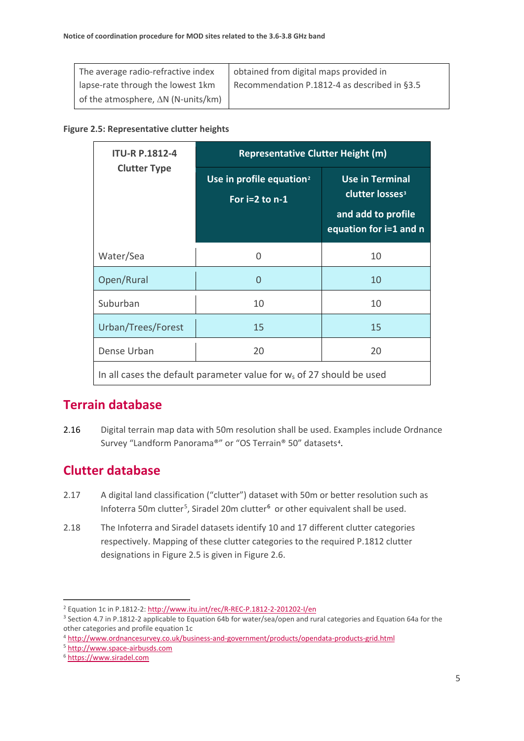| The average radio-refractive index         | obtained from digital maps provided in       |
|--------------------------------------------|----------------------------------------------|
| lapse-rate through the lowest 1km          | Recommendation P.1812-4 as described in §3.5 |
| of the atmosphere, $\Delta N$ (N-units/km) |                                              |

#### **Figure 2.5: Representative clutter heights**

| <b>ITU-R P.1812-4</b>                                                            | <b>Representative Clutter Height (m)</b>                 |                                                                                                       |  |
|----------------------------------------------------------------------------------|----------------------------------------------------------|-------------------------------------------------------------------------------------------------------|--|
| <b>Clutter Type</b>                                                              | Use in profile equation <sup>2</sup><br>For $i=2$ to n-1 | <b>Use in Terminal</b><br>clutter losses <sup>3</sup><br>and add to profile<br>equation for i=1 and n |  |
| Water/Sea                                                                        | 0                                                        | 10                                                                                                    |  |
| Open/Rural                                                                       | 0                                                        | 10                                                                                                    |  |
| Suburban                                                                         | 10                                                       | 10                                                                                                    |  |
| Urban/Trees/Forest                                                               | 15                                                       | 15                                                                                                    |  |
| Dense Urban                                                                      | 20                                                       | 20                                                                                                    |  |
| In all cases the default parameter value for w <sub>s</sub> of 27 should be used |                                                          |                                                                                                       |  |

#### **Terrain database**

2.16 Digital terrain map data with 50m resolution shall be used. Examples include Ordnance Survey "Landform Panorama®" or "OS Terrain® 50" datasets[4](#page-6-2).

#### **Clutter database**

- 2.17 A digital land classification ("clutter") dataset with 50m or better resolution such as Infoterra [5](#page-6-3)0m clutter<sup>5</sup>, Siradel 20m clutter<sup>[6](#page-6-4)</sup> or other equivalent shall be used.
- 2.18 The Infoterra and Siradel datasets identify 10 and 17 different clutter categories respectively. Mapping of these clutter categories to the required P.1812 clutter designations in Figure 2.5 is given in Figure 2.6.

<span id="page-6-0"></span><sup>2</sup> Equation 1c in P.1812-2:<http://www.itu.int/rec/R-REC-P.1812-2-201202-I/en>

<span id="page-6-1"></span><sup>3</sup> Section 4.7 in P.1812-2 applicable to Equation 64b for water/sea/open and rural categories and Equation 64a for the other categories and profile equation 1c

<span id="page-6-2"></span><sup>4</sup> <http://www.ordnancesurvey.co.uk/business-and-government/products/opendata-products-grid.html>

<span id="page-6-3"></span><sup>5</sup> [http://www.space-airbusds.com](http://www.space-airbusds.com/)

<span id="page-6-4"></span><sup>6</sup> [https://www.siradel.com](https://www.siradel.com/)